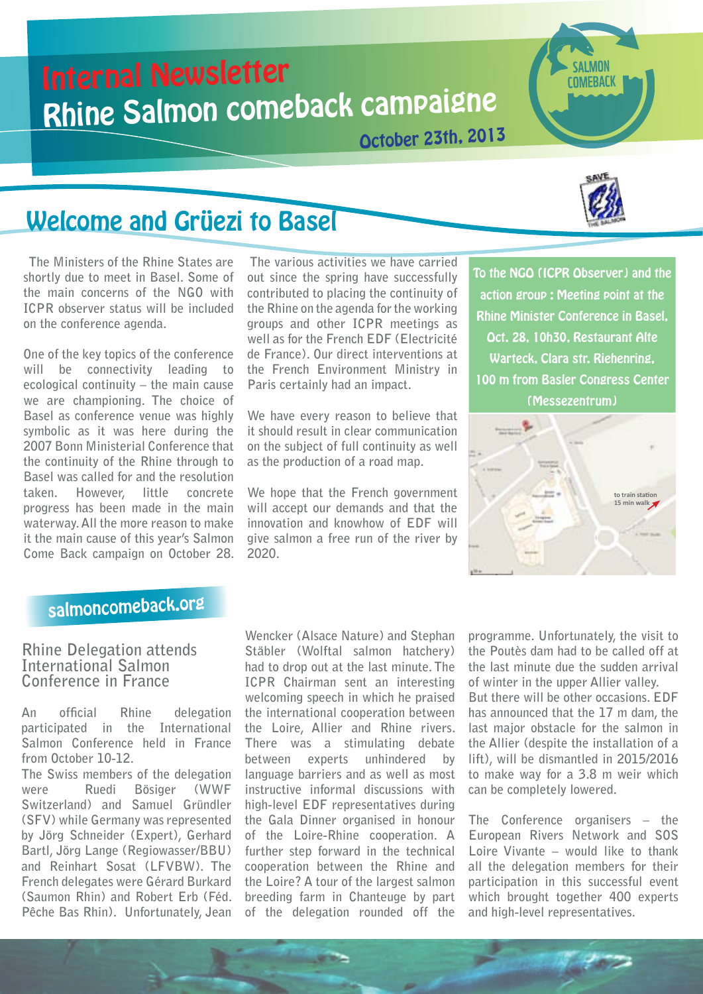# Internal Newsletter Rhine Salmon comeback campaigne

October 23th, 2013



**SAI MON** COMEBACK

# Welcome and Grüezi to Basel

 **The Ministers of the Rhine States are shortly due to meet in Basel. Some of the main concerns of the NGO with ICPR observer status will be included on the conference agenda.** 

**One of the key topics of the conference will be connectivity leading to ecological continuity – the main cause we are championing. The choice of Basel as conference venue was highly symbolic as it was here during the 2007 Bonn Ministerial Conference that the continuity of the Rhine through to Basel was called for and the resolution taken. However, little concrete progress has been made in the main waterway. All the more reason to make it the main cause of this year's Salmon Come Back campaign on October 28.**

 **The various activities we have carried out since the spring have successfully contributed to placing the continuity of the Rhine on the agenda for the working groups and other ICPR meetings as well as for the French EDF (Electricité de France). Our direct interventions at the French Environment Ministry in Paris certainly had an impact.** 

**We have every reason to believe that it should result in clear communication on the subject of full continuity as well as the production of a road map.** 

**We hope that the French government will accept our demands and that the innovation and knowhow of EDF will give salmon a free run of the river by 2020.**

To the NGO (ICPR Observer) and the action group : Meeting point at the Rhine Minister Conference in Basel, Oct. 28, 10h30, Restaurant Alte Warteck, Clara str. Riehenring, 100 m from Basler Congress Center (Messezentrum)



# salmoncomeback.org

## **Rhine Delegation attends International Salmon Conference in France**

**An official Rhine delegation participated in the International Salmon Conference held in France from October 10-12.**

**The Swiss members of the delegation were Ruedi Bösiger (WWF Switzerland) and Samuel Gründler (SFV) while Germany was represented by Jörg Schneider (Expert), Gerhard Bartl, Jörg Lange (Regiowasser/BBU) and Reinhart Sosat (LFVBW). The French delegates were Gérard Burkard (Saumon Rhin) and Robert Erb (Féd. Pêche Bas Rhin). Unfortunately, Jean** 

**Wencker (Alsace Nature) and Stephan Stäbler (Wolftal salmon hatchery) had to drop out at the last minute. The ICPR Chairman sent an interesting welcoming speech in which he praised the international cooperation between the Loire, Allier and Rhine rivers. There was a stimulating debate between experts unhindered by language barriers and as well as most instructive informal discussions with high-level EDF representatives during the Gala Dinner organised in honour of the Loire-Rhine cooperation. A further step forward in the technical cooperation between the Rhine and the Loire? A tour of the largest salmon breeding farm in Chanteuge by part of the delegation rounded off the** 

**programme. Unfortunately, the visit to the Poutès dam had to be called off at the last minute due the sudden arrival of winter in the upper Allier valley. But there will be other occasions. EDF has announced that the 17 m dam, the last major obstacle for the salmon in the Allier (despite the installation of a lift), will be dismantled in 2015/2016 to make way for a 3.8 m weir which can be completely lowered.**

**The Conference organisers – the European Rivers Network and SOS Loire Vivante – would like to thank all the delegation members for their participation in this successful event which brought together 400 experts and high-level representatives.**